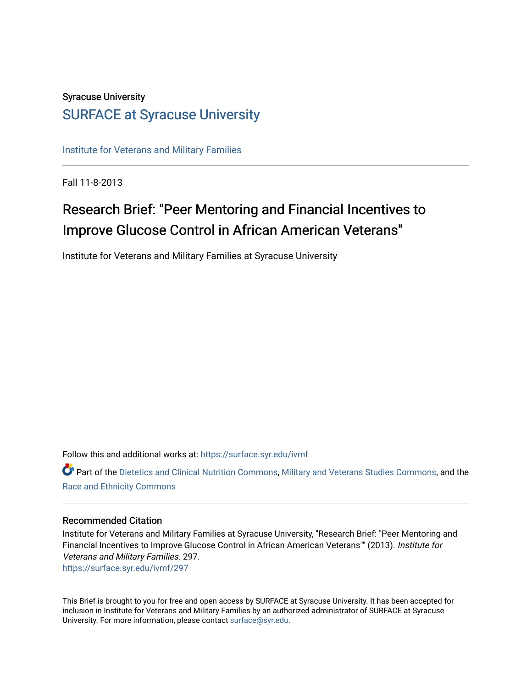## Syracuse University

### [SURFACE at Syracuse University](https://surface.syr.edu/)

[Institute for Veterans and Military Families](https://surface.syr.edu/ivmf)

Fall 11-8-2013

## Research Brief: "Peer Mentoring and Financial Incentives to Improve Glucose Control in African American Veterans"

Institute for Veterans and Military Families at Syracuse University

Follow this and additional works at: [https://surface.syr.edu/ivmf](https://surface.syr.edu/ivmf?utm_source=surface.syr.edu%2Fivmf%2F297&utm_medium=PDF&utm_campaign=PDFCoverPages) 

Part of the [Dietetics and Clinical Nutrition Commons,](http://network.bepress.com/hgg/discipline/662?utm_source=surface.syr.edu%2Fivmf%2F297&utm_medium=PDF&utm_campaign=PDFCoverPages) [Military and Veterans Studies Commons](http://network.bepress.com/hgg/discipline/396?utm_source=surface.syr.edu%2Fivmf%2F297&utm_medium=PDF&utm_campaign=PDFCoverPages), and the [Race and Ethnicity Commons](http://network.bepress.com/hgg/discipline/426?utm_source=surface.syr.edu%2Fivmf%2F297&utm_medium=PDF&utm_campaign=PDFCoverPages)

### Recommended Citation

Institute for Veterans and Military Families at Syracuse University, "Research Brief: "Peer Mentoring and Financial Incentives to Improve Glucose Control in African American Veterans"" (2013). Institute for Veterans and Military Families. 297. [https://surface.syr.edu/ivmf/297](https://surface.syr.edu/ivmf/297?utm_source=surface.syr.edu%2Fivmf%2F297&utm_medium=PDF&utm_campaign=PDFCoverPages) 

This Brief is brought to you for free and open access by SURFACE at Syracuse University. It has been accepted for inclusion in Institute for Veterans and Military Families by an authorized administrator of SURFACE at Syracuse University. For more information, please contact [surface@syr.edu.](mailto:surface@syr.edu)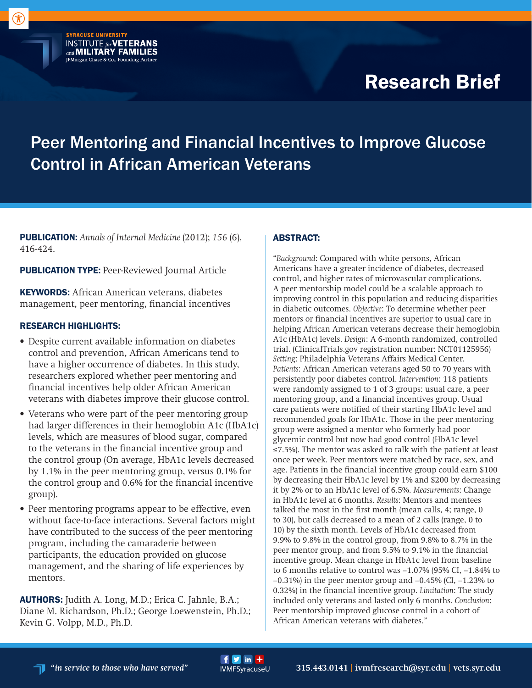# Research Brief

# Peer Mentoring and Financial Incentives to Improve Glucose Control in African American Veterans

PUBLICATION: *Annals of Internal Medicine* (2012); *156* (6), 416-424.

**PUBLICATION TYPE:** Peer-Reviewed Journal Article

**SYRACUSE UNIVERSITY** 

**INSTITUTE for VETERANS**<br>and **MILITARY FAMILIES** JPMorgan Chase & Co., Founding Partner

KEYWORDS: African American veterans, diabetes management, peer mentoring, financial incentives

### RESEARCH HIGHLIGHTS:

- Despite current available information on diabetes control and prevention, African Americans tend to have a higher occurrence of diabetes. In this study, researchers explored whether peer mentoring and financial incentives help older African American veterans with diabetes improve their glucose control.
- Veterans who were part of the peer mentoring group had larger differences in their hemoglobin A1c (HbA1c) levels, which are measures of blood sugar, compared to the veterans in the financial incentive group and the control group (On average, HbA1c levels decreased by 1.1% in the peer mentoring group, versus 0.1% for the control group and 0.6% for the financial incentive group).
- Peer mentoring programs appear to be effective, even without face-to-face interactions. Several factors might have contributed to the success of the peer mentoring program, including the camaraderie between participants, the education provided on glucose management, and the sharing of life experiences by mentors.

AUTHORS: Judith A. Long, M.D.; Erica C. Jahnle, B.A.; Diane M. Richardson, Ph.D.; George Loewenstein, Ph.D.; Kevin G. Volpp, M.D., Ph.D.

 $f y$  in  $+$ 

### ABSTRACT:

"*Background*: Compared with white persons, African Americans have a greater incidence of diabetes, decreased control, and higher rates of microvascular complications. A peer mentorship model could be a scalable approach to improving control in this population and reducing disparities in diabetic outcomes. *Objective*: To determine whether peer mentors or financial incentives are superior to usual care in helping African American veterans decrease their hemoglobin A1c (HbA1c) levels. *Design*: A 6-month randomized, controlled trial. (ClinicalTrials.gov registration number: NCT01125956) *Setting*: Philadelphia Veterans Affairs Medical Center. *Patients*: African American veterans aged 50 to 70 years with persistently poor diabetes control. *Intervention*: 118 patients were randomly assigned to 1 of 3 groups: usual care, a peer mentoring group, and a financial incentives group. Usual care patients were notified of their starting HbA1c level and recommended goals for HbA1c. Those in the peer mentoring group were assigned a mentor who formerly had poor glycemic control but now had good control (HbA1c level ≤7.5%). The mentor was asked to talk with the patient at least once per week. Peer mentors were matched by race, sex, and age. Patients in the financial incentive group could earn \$100 by decreasing their HbA1c level by 1% and \$200 by decreasing it by 2% or to an HbA1c level of 6.5%. *Measurements*: Change in HbA1c level at 6 months. *Results*: Mentors and mentees talked the most in the first month (mean calls, 4; range, 0 to 30), but calls decreased to a mean of 2 calls (range, 0 to 10) by the sixth month. Levels of HbA1c decreased from 9.9% to 9.8% in the control group, from 9.8% to 8.7% in the peer mentor group, and from 9.5% to 9.1% in the financial incentive group. Mean change in HbA1c level from baseline to 6 months relative to control was −1.07% (95% CI, −1.84% to −0.31%) in the peer mentor group and −0.45% (CI, −1.23% to 0.32%) in the financial incentive group. *Limitation*: The study included only veterans and lasted only 6 months. *Conclusion*: Peer mentorship improved glucose control in a cohort of African American veterans with diabetes."